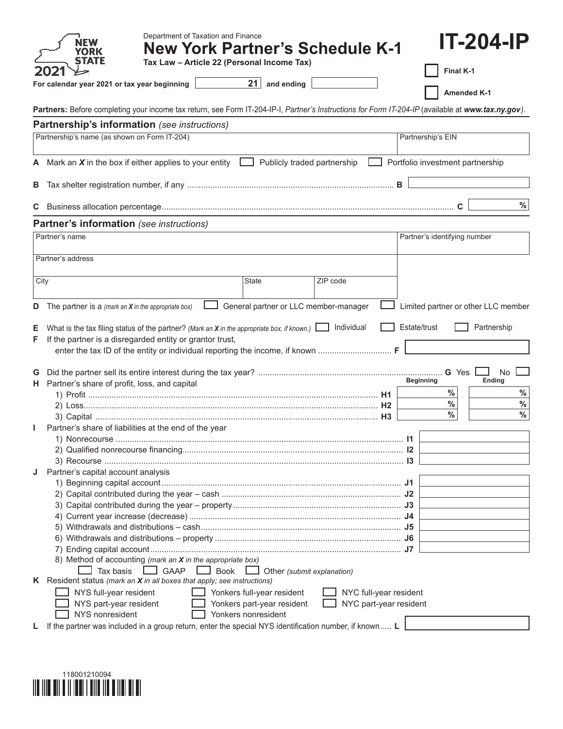|    | Department of Taxation and Finance<br><b>New York Partner's Schedule K-1</b>                                                                       | <b>IT-204-IP</b>                           |
|----|----------------------------------------------------------------------------------------------------------------------------------------------------|--------------------------------------------|
|    | Tax Law - Article 22 (Personal Income Tax)                                                                                                         | Final K-1                                  |
|    | 21<br>and ending<br>For calendar year 2021 or tax year beginning                                                                                   |                                            |
|    |                                                                                                                                                    | <b>Amended K-1</b>                         |
|    | Partners: Before completing your income tax return, see Form IT-204-IP-I, Partner's Instructions for Form IT-204-IP (available at www.tax.ny.gov). |                                            |
|    | Partnership's information (see instructions)                                                                                                       |                                            |
|    | Partnership's name (as shown on Form IT-204)                                                                                                       | Partnership's EIN                          |
|    | A Mark an $X$ in the box if either applies to your entity<br>Publicly traded partnership                                                           | Portfolio investment partnership           |
| В  |                                                                                                                                                    |                                            |
| С  |                                                                                                                                                    | $\%$                                       |
|    | <b>Partner's information</b> (see instructions)                                                                                                    |                                            |
|    | Partner's name                                                                                                                                     | Partner's identifying number               |
|    | Partner's address                                                                                                                                  |                                            |
|    |                                                                                                                                                    |                                            |
|    | ZIP code<br>City<br>State                                                                                                                          |                                            |
| D  | General partner or LLC member-manager<br>The partner is a (mark an $X$ in the appropriate box)                                                     | Limited partner or other LLC member        |
|    |                                                                                                                                                    |                                            |
| Е  | What is the tax filing status of the partner? (Mark an X in the appropriate box, if known.) $\Box$ Individual                                      | Estate/trust<br>Partnership                |
| F  | If the partner is a disregarded entity or grantor trust,<br>enter the tax ID of the entity or individual reporting the income, if known  F         |                                            |
|    |                                                                                                                                                    |                                            |
| G  |                                                                                                                                                    | G Yes<br>No                                |
| н. | Partner's share of profit, loss, and capital                                                                                                       | Ending<br><b>Beginning</b><br>$\%$<br>$\%$ |
|    |                                                                                                                                                    | $\%$<br>$\%$                               |
|    |                                                                                                                                                    | $\%$<br>$\%$                               |
|    | Partner's share of liabilities at the end of the year                                                                                              |                                            |
|    |                                                                                                                                                    |                                            |
|    |                                                                                                                                                    | $\mathsf{I}$                               |
|    | 1) Nonrecourse                                                                                                                                     |                                            |
|    |                                                                                                                                                    |                                            |
| J  | Partner's capital account analysis                                                                                                                 |                                            |
|    |                                                                                                                                                    |                                            |
|    |                                                                                                                                                    |                                            |
|    |                                                                                                                                                    |                                            |
|    |                                                                                                                                                    |                                            |
|    |                                                                                                                                                    |                                            |
|    |                                                                                                                                                    |                                            |
|    |                                                                                                                                                    |                                            |
|    | 8) Method of accounting (mark an X in the appropriate box)<br>$\Box$ GAAP $\Box$ Book<br>Tax basis<br>$\Box$ Other (submit explanation)            |                                            |
|    | <b>K</b> Resident status (mark an $X$ in all boxes that apply; see instructions)                                                                   |                                            |
|    | NYS full-year resident<br>Yonkers full-year resident<br>NYC full-year resident                                                                     |                                            |
|    | NYS part-year resident<br>Yonkers part-year resident<br>NYC part-year resident                                                                     |                                            |
| L  | NYS nonresident<br>Yonkers nonresident<br>If the partner was included in a group return, enter the special NYS identification number, if known L   |                                            |

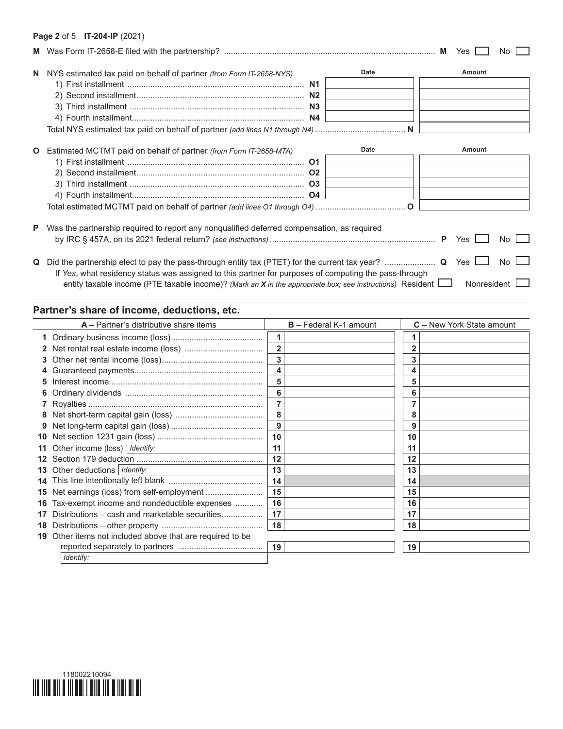#### **Page 2** of 5 **IT-204-IP** (2021)

|              |                                                                                                       |      | Yes    | No  |
|--------------|-------------------------------------------------------------------------------------------------------|------|--------|-----|
|              | N NYS estimated tax paid on behalf of partner (from Form IT-2658-NYS)                                 | Date | Amount |     |
| $\mathbf{O}$ | Estimated MCTMT paid on behalf of partner <i>(from Form IT-2658-MTA)</i>                              | Date | Amount |     |
| P            | Was the partnership required to report any nonqualified deferred compensation, as required            |      | Yes    | No. |
| Q            | If Yes, what residency status was assigned to this partner for purposes of computing the pass-through |      | Yes    | Nο  |

# entity taxable income (PTE taxable income)? *(Mark an X in the appropriate box; see instructions)* Resident  $\Box$  Nonresident  $\Box$

# **Partner's share of income, deductions, etc.**

|    | A - Partner's distributive share items                 |                | <b>B</b> – Federal K-1 amount |    | <b>C</b> – New York State amount |
|----|--------------------------------------------------------|----------------|-------------------------------|----|----------------------------------|
|    |                                                        |                |                               |    |                                  |
|    |                                                        | $\overline{2}$ |                               |    |                                  |
| 3. |                                                        | 3              |                               |    |                                  |
| 4  |                                                        | 4              |                               | 4  |                                  |
| 5  |                                                        | 5              |                               | 5  |                                  |
| 6  |                                                        | 6              |                               | 6  |                                  |
|    |                                                        |                |                               |    |                                  |
| 8  |                                                        | 8              |                               | 8  |                                  |
| 9  |                                                        | 9              |                               | 9  |                                  |
| 10 |                                                        | 10             |                               | 10 |                                  |
| 11 | Other income (loss)   Identify:                        | 11             |                               | 11 |                                  |
| 12 |                                                        | 12             |                               | 12 |                                  |
| 13 | Other deductions   Identify:                           | 13             |                               | 13 |                                  |
| 14 |                                                        | 14             |                               | 14 |                                  |
| 15 | Net earnings (loss) from self-employment               | 15             |                               | 15 |                                  |
| 16 | Tax-exempt income and nondeductible expenses           | 16             |                               | 16 |                                  |
| 17 | Distributions – cash and marketable securities         | 17             |                               | 17 |                                  |
| 18 |                                                        | 18             |                               | 18 |                                  |
| 19 | Other items not included above that are required to be |                |                               |    |                                  |
|    |                                                        | 19             |                               | 19 |                                  |
|    | Identify:                                              |                |                               |    |                                  |

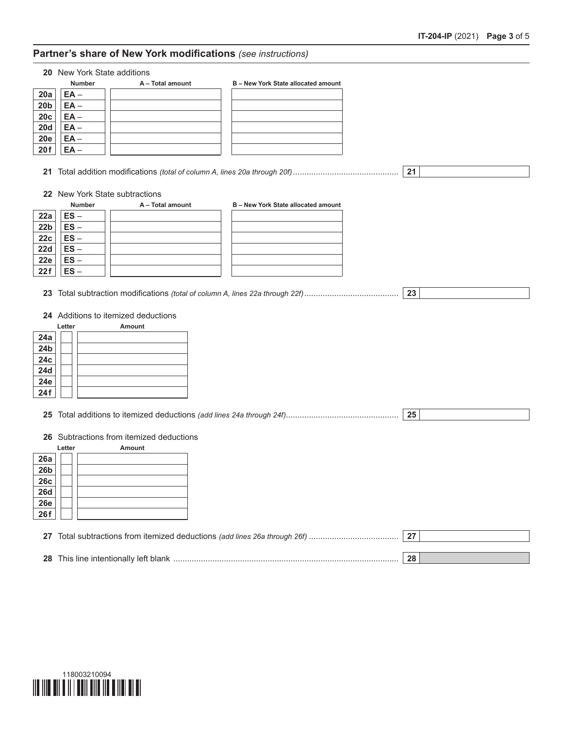### **Partner's share of New York modifications** *(see instructions)*

**20** New York State additions

|                 | <b>Number</b> | A - Total amount | B - New York State allocated amount |
|-----------------|---------------|------------------|-------------------------------------|
| 20a             | $EA -$        |                  |                                     |
| 20 <sub>b</sub> | $EA -$        |                  |                                     |
| 20c             | $EA -$        |                  |                                     |
| <b>20d</b>      | $EA -$        |                  |                                     |
| <b>20e</b>      | $EA -$        |                  |                                     |
| 20f             | EA –          |                  |                                     |
|                 |               |                  |                                     |

- **21** Total addition modifications *(total of column A, lines 20a through 20f)*.............................................. **21**
	-

**22** New York State subtractions

|                 | <b>Number</b> | A - Total amount | B - New York State allocated amount |
|-----------------|---------------|------------------|-------------------------------------|
| 22a             | $ES -$        |                  |                                     |
| 22 <sub>b</sub> | $ES -$        |                  |                                     |
| 22c             | $ES -$        |                  |                                     |
| 22d             | $ES -$        |                  |                                     |
| 22e             | $ES -$        |                  |                                     |
| 22f             | ES            |                  |                                     |

**23** Total subtraction modifications *(total of column A, lines 22a through 22f)*......................................... **23**

**24** Additions to itemized deductions

|                  | Letter | Amount |
|------------------|--------|--------|
| 24a              |        |        |
| 24 <sub>b</sub>  |        |        |
| 24c              |        |        |
| 24d              |        |        |
| 24e              |        |        |
| $\overline{24f}$ |        |        |

**25** Total additions to itemized deductions *(add lines 24a through 24f)*................................................. **25**

**26** Subtractions from itemized deductions

|                 | Letter | Amount |
|-----------------|--------|--------|
| 26a             |        |        |
| 26 <sub>b</sub> |        |        |
| 26c             |        |        |
| <b>26d</b>      |        |        |
| <b>26e</b>      |        |        |
| 26f             |        |        |

| <b>28</b> This line intentionally left blank | າດ |  |
|----------------------------------------------|----|--|

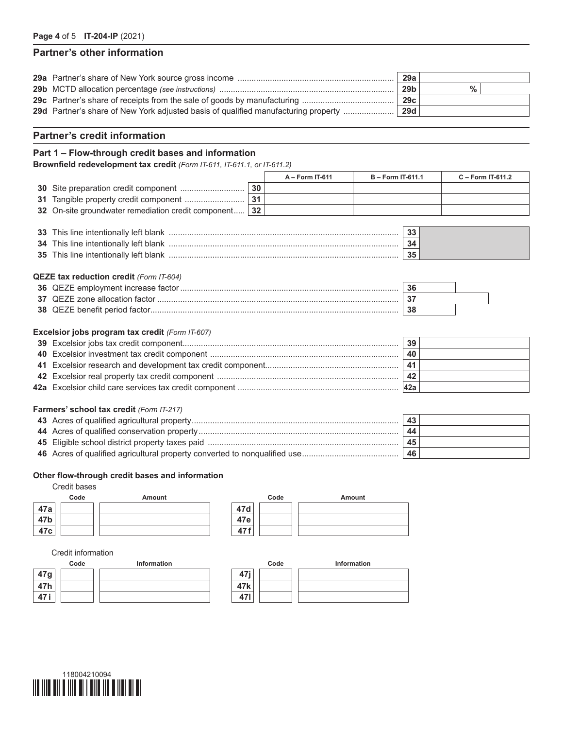## **Partner's other information**

|                                                                                           | 29a             |   |  |
|-------------------------------------------------------------------------------------------|-----------------|---|--|
|                                                                                           | 29 <sub>b</sub> | % |  |
|                                                                                           | 29с             |   |  |
| <b>29d</b> Partner's share of New York adjusted basis of qualified manufacturing property | <b>29d</b>      |   |  |
|                                                                                           |                 |   |  |

#### **Partner's credit information**

#### **Part 1 – Flow-through credit bases and information**

**Brownfield redevelopment tax credit** *(Form IT-611, IT-611.1, or IT-611.2)*

|                                                        |    | $A - Form II-611$ | <b>B</b> – Form IT-611.1 | $C - Form II-611.2$ |
|--------------------------------------------------------|----|-------------------|--------------------------|---------------------|
|                                                        | 30 |                   |                          |                     |
|                                                        |    |                   |                          |                     |
| 32 On-site groundwater remediation credit component 32 |    |                   |                          |                     |

| <b>35</b> This line intentionally left blank |  |
|----------------------------------------------|--|

#### **QEZE tax reduction credit** *(Form IT-604)*

| 38 OEZE benefit period factor | 38 |  |
|-------------------------------|----|--|

#### **Excelsior jobs program tax credit** *(Form IT-607)*

|  | 39             |  |
|--|----------------|--|
|  | 40             |  |
|  | 41             |  |
|  | $\overline{A}$ |  |
|  | <b>42a</b>     |  |

#### **Farmers' school tax credit** *(Form IT-217)*

|  | 43 |  |
|--|----|--|
|  | 44 |  |
|  | 45 |  |
|  | 46 |  |

#### **Other flow-through credit bases and information**

### Credit bases



#### Credit information

|      | Code | Information |                 | Code | Information |
|------|------|-------------|-----------------|------|-------------|
| 47g  |      |             | A7:<br>۰.       |      |             |
| 47h  |      |             | 47 <sub>k</sub> |      |             |
| 47 i |      |             | 471             |      |             |